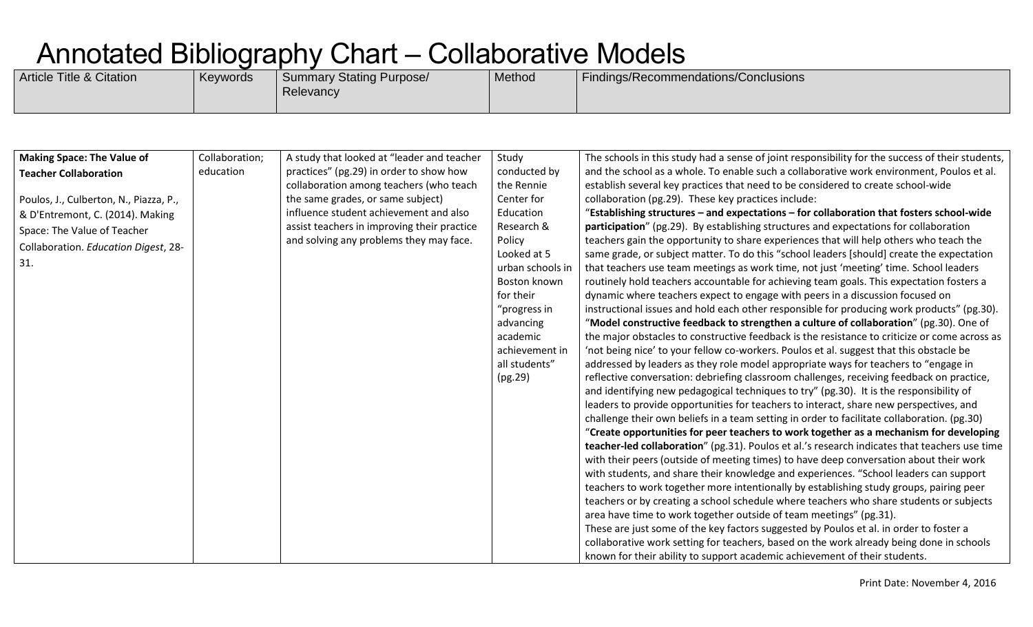| <b>Article Title &amp; Citation</b> | Keywords | Summary Stating Purpose/<br>Relevancy | Method | <sup>1</sup> Findings/Recommendations/Conclusions |
|-------------------------------------|----------|---------------------------------------|--------|---------------------------------------------------|
|                                     |          |                                       |        |                                                   |

| <b>Making Space: The Value of</b>      | Collaboration; | A study that looked at "leader and teacher  | Study            | The schools in this study had a sense of joint responsibility for the success of their students, |
|----------------------------------------|----------------|---------------------------------------------|------------------|--------------------------------------------------------------------------------------------------|
| <b>Teacher Collaboration</b>           | education      | practices" (pg.29) in order to show how     | conducted by     | and the school as a whole. To enable such a collaborative work environment, Poulos et al.        |
|                                        |                | collaboration among teachers (who teach     | the Rennie       | establish several key practices that need to be considered to create school-wide                 |
| Poulos, J., Culberton, N., Piazza, P., |                | the same grades, or same subject)           | Center for       | collaboration (pg.29). These key practices include:                                              |
| & D'Entremont, C. (2014). Making       |                | influence student achievement and also      | Education        | "Establishing structures - and expectations - for collaboration that fosters school-wide         |
| Space: The Value of Teacher            |                | assist teachers in improving their practice | Research &       | participation" (pg.29). By establishing structures and expectations for collaboration            |
|                                        |                | and solving any problems they may face.     | Policy           | teachers gain the opportunity to share experiences that will help others who teach the           |
| Collaboration. Education Digest, 28-   |                |                                             | Looked at 5      | same grade, or subject matter. To do this "school leaders [should] create the expectation        |
| 31.                                    |                |                                             | urban schools in | that teachers use team meetings as work time, not just 'meeting' time. School leaders            |
|                                        |                |                                             | Boston known     | routinely hold teachers accountable for achieving team goals. This expectation fosters a         |
|                                        |                |                                             | for their        | dynamic where teachers expect to engage with peers in a discussion focused on                    |
|                                        |                |                                             | "progress in     | instructional issues and hold each other responsible for producing work products" (pg.30).       |
|                                        |                |                                             | advancing        | "Model constructive feedback to strengthen a culture of collaboration" (pg.30). One of           |
|                                        |                |                                             | academic         | the major obstacles to constructive feedback is the resistance to criticize or come across as    |
|                                        |                |                                             | achievement in   | 'not being nice' to your fellow co-workers. Poulos et al. suggest that this obstacle be          |
|                                        |                |                                             | all students"    | addressed by leaders as they role model appropriate ways for teachers to "engage in              |
|                                        |                |                                             | (pg.29)          | reflective conversation: debriefing classroom challenges, receiving feedback on practice,        |
|                                        |                |                                             |                  | and identifying new pedagogical techniques to try" (pg.30). It is the responsibility of          |
|                                        |                |                                             |                  | leaders to provide opportunities for teachers to interact, share new perspectives, and           |
|                                        |                |                                             |                  | challenge their own beliefs in a team setting in order to facilitate collaboration. (pg.30)      |
|                                        |                |                                             |                  | "Create opportunities for peer teachers to work together as a mechanism for developing           |
|                                        |                |                                             |                  | teacher-led collaboration" (pg.31). Poulos et al.'s research indicates that teachers use time    |
|                                        |                |                                             |                  | with their peers (outside of meeting times) to have deep conversation about their work           |
|                                        |                |                                             |                  | with students, and share their knowledge and experiences. "School leaders can support            |
|                                        |                |                                             |                  | teachers to work together more intentionally by establishing study groups, pairing peer          |
|                                        |                |                                             |                  | teachers or by creating a school schedule where teachers who share students or subjects          |
|                                        |                |                                             |                  | area have time to work together outside of team meetings" (pg.31).                               |
|                                        |                |                                             |                  | These are just some of the key factors suggested by Poulos et al. in order to foster a           |
|                                        |                |                                             |                  | collaborative work setting for teachers, based on the work already being done in schools         |
|                                        |                |                                             |                  | known for their ability to support academic achievement of their students.                       |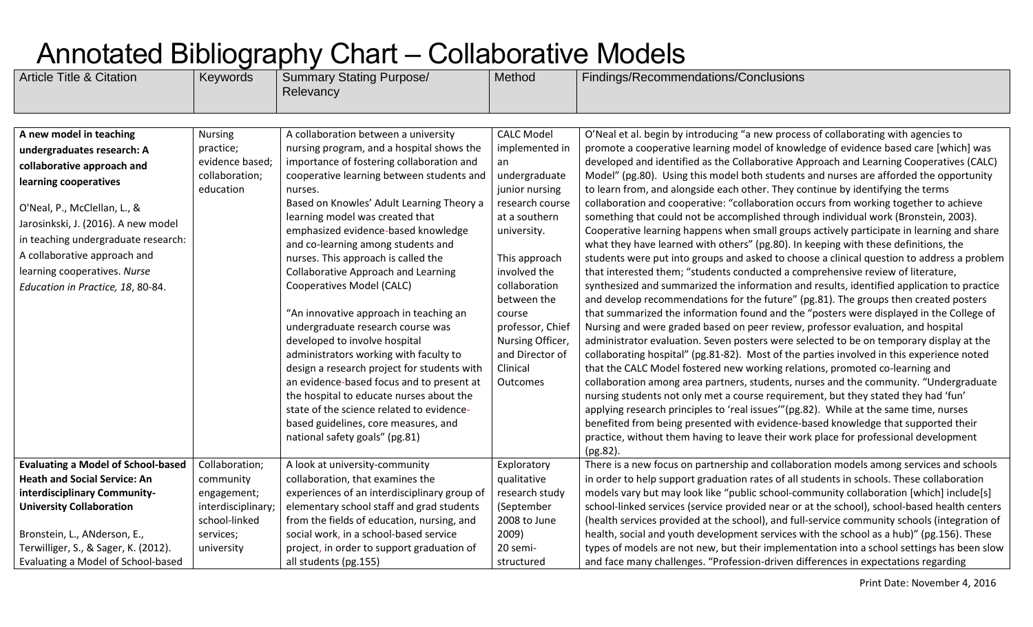| <b>Article Title &amp; Citation</b>                                                                                                                                                                                                                                                                                             | Keywords                                                                      | <b>Summary Stating Purpose/</b><br>Relevancy                                                                                                                                                                                                                                                                                                                                                                                                                                                                                                                                                                                                                                                                                                                                                                                                                 | Method                                                                                                                                                                                                                                                                                        | Findings/Recommendations/Conclusions                                                                                                                                                                                                                                                                                                                                                                                                                                                                                                                                                                                                                                                                                                                                                                                                                                                                                                                                                                                                                                                                                                                                                                                                                                                                                                                                                                                                                                                                                                                                                                                                                                                                                                                                                                                                                                                                                                                                                                               |
|---------------------------------------------------------------------------------------------------------------------------------------------------------------------------------------------------------------------------------------------------------------------------------------------------------------------------------|-------------------------------------------------------------------------------|--------------------------------------------------------------------------------------------------------------------------------------------------------------------------------------------------------------------------------------------------------------------------------------------------------------------------------------------------------------------------------------------------------------------------------------------------------------------------------------------------------------------------------------------------------------------------------------------------------------------------------------------------------------------------------------------------------------------------------------------------------------------------------------------------------------------------------------------------------------|-----------------------------------------------------------------------------------------------------------------------------------------------------------------------------------------------------------------------------------------------------------------------------------------------|--------------------------------------------------------------------------------------------------------------------------------------------------------------------------------------------------------------------------------------------------------------------------------------------------------------------------------------------------------------------------------------------------------------------------------------------------------------------------------------------------------------------------------------------------------------------------------------------------------------------------------------------------------------------------------------------------------------------------------------------------------------------------------------------------------------------------------------------------------------------------------------------------------------------------------------------------------------------------------------------------------------------------------------------------------------------------------------------------------------------------------------------------------------------------------------------------------------------------------------------------------------------------------------------------------------------------------------------------------------------------------------------------------------------------------------------------------------------------------------------------------------------------------------------------------------------------------------------------------------------------------------------------------------------------------------------------------------------------------------------------------------------------------------------------------------------------------------------------------------------------------------------------------------------------------------------------------------------------------------------------------------------|
|                                                                                                                                                                                                                                                                                                                                 |                                                                               |                                                                                                                                                                                                                                                                                                                                                                                                                                                                                                                                                                                                                                                                                                                                                                                                                                                              |                                                                                                                                                                                                                                                                                               |                                                                                                                                                                                                                                                                                                                                                                                                                                                                                                                                                                                                                                                                                                                                                                                                                                                                                                                                                                                                                                                                                                                                                                                                                                                                                                                                                                                                                                                                                                                                                                                                                                                                                                                                                                                                                                                                                                                                                                                                                    |
| A new model in teaching<br>undergraduates research: A<br>collaborative approach and<br>learning cooperatives<br>O'Neal, P., McClellan, L., &<br>Jarosinkski, J. (2016). A new model<br>in teaching undergraduate research:<br>A collaborative approach and<br>learning cooperatives. Nurse<br>Education in Practice, 18, 80-84. | <b>Nursing</b><br>practice;<br>evidence based;<br>collaboration;<br>education | A collaboration between a university<br>nursing program, and a hospital shows the<br>importance of fostering collaboration and<br>cooperative learning between students and<br>nurses.<br>Based on Knowles' Adult Learning Theory a<br>learning model was created that<br>emphasized evidence-based knowledge<br>and co-learning among students and<br>nurses. This approach is called the<br><b>Collaborative Approach and Learning</b><br>Cooperatives Model (CALC)<br>"An innovative approach in teaching an<br>undergraduate research course was<br>developed to involve hospital<br>administrators working with faculty to<br>design a research project for students with<br>an evidence-based focus and to present at<br>the hospital to educate nurses about the<br>state of the science related to evidence-<br>based guidelines, core measures, and | <b>CALC Model</b><br>implemented in<br>an<br>undergraduate<br>junior nursing<br>research course<br>at a southern<br>university.<br>This approach<br>involved the<br>collaboration<br>between the<br>course<br>professor, Chief<br>Nursing Officer,<br>and Director of<br>Clinical<br>Outcomes | O'Neal et al. begin by introducing "a new process of collaborating with agencies to<br>promote a cooperative learning model of knowledge of evidence based care [which] was<br>developed and identified as the Collaborative Approach and Learning Cooperatives (CALC)<br>Model" (pg.80). Using this model both students and nurses are afforded the opportunity<br>to learn from, and alongside each other. They continue by identifying the terms<br>collaboration and cooperative: "collaboration occurs from working together to achieve<br>something that could not be accomplished through individual work (Bronstein, 2003).<br>Cooperative learning happens when small groups actively participate in learning and share<br>what they have learned with others" (pg.80). In keeping with these definitions, the<br>students were put into groups and asked to choose a clinical question to address a problem<br>that interested them; "students conducted a comprehensive review of literature,<br>synthesized and summarized the information and results, identified application to practice<br>and develop recommendations for the future" (pg.81). The groups then created posters<br>that summarized the information found and the "posters were displayed in the College of<br>Nursing and were graded based on peer review, professor evaluation, and hospital<br>administrator evaluation. Seven posters were selected to be on temporary display at the<br>collaborating hospital" (pg.81-82). Most of the parties involved in this experience noted<br>that the CALC Model fostered new working relations, promoted co-learning and<br>collaboration among area partners, students, nurses and the community. "Undergraduate<br>nursing students not only met a course requirement, but they stated they had 'fun'<br>applying research principles to 'real issues'"(pg.82). While at the same time, nurses<br>benefited from being presented with evidence-based knowledge that supported their |
|                                                                                                                                                                                                                                                                                                                                 |                                                                               | national safety goals" (pg.81)                                                                                                                                                                                                                                                                                                                                                                                                                                                                                                                                                                                                                                                                                                                                                                                                                               |                                                                                                                                                                                                                                                                                               | practice, without them having to leave their work place for professional development<br>$(pg.82)$ .                                                                                                                                                                                                                                                                                                                                                                                                                                                                                                                                                                                                                                                                                                                                                                                                                                                                                                                                                                                                                                                                                                                                                                                                                                                                                                                                                                                                                                                                                                                                                                                                                                                                                                                                                                                                                                                                                                                |
| <b>Evaluating a Model of School-based</b>                                                                                                                                                                                                                                                                                       | Collaboration;                                                                | A look at university-community                                                                                                                                                                                                                                                                                                                                                                                                                                                                                                                                                                                                                                                                                                                                                                                                                               | Exploratory                                                                                                                                                                                                                                                                                   | There is a new focus on partnership and collaboration models among services and schools                                                                                                                                                                                                                                                                                                                                                                                                                                                                                                                                                                                                                                                                                                                                                                                                                                                                                                                                                                                                                                                                                                                                                                                                                                                                                                                                                                                                                                                                                                                                                                                                                                                                                                                                                                                                                                                                                                                            |
| <b>Heath and Social Service: An</b>                                                                                                                                                                                                                                                                                             | community                                                                     | collaboration, that examines the                                                                                                                                                                                                                                                                                                                                                                                                                                                                                                                                                                                                                                                                                                                                                                                                                             | qualitative                                                                                                                                                                                                                                                                                   | in order to help support graduation rates of all students in schools. These collaboration                                                                                                                                                                                                                                                                                                                                                                                                                                                                                                                                                                                                                                                                                                                                                                                                                                                                                                                                                                                                                                                                                                                                                                                                                                                                                                                                                                                                                                                                                                                                                                                                                                                                                                                                                                                                                                                                                                                          |
| interdisciplinary Community-                                                                                                                                                                                                                                                                                                    | engagement;                                                                   | experiences of an interdisciplinary group of                                                                                                                                                                                                                                                                                                                                                                                                                                                                                                                                                                                                                                                                                                                                                                                                                 | research study                                                                                                                                                                                                                                                                                | models vary but may look like "public school-community collaboration [which] include[s]                                                                                                                                                                                                                                                                                                                                                                                                                                                                                                                                                                                                                                                                                                                                                                                                                                                                                                                                                                                                                                                                                                                                                                                                                                                                                                                                                                                                                                                                                                                                                                                                                                                                                                                                                                                                                                                                                                                            |
| <b>University Collaboration</b>                                                                                                                                                                                                                                                                                                 | interdisciplinary;                                                            | elementary school staff and grad students                                                                                                                                                                                                                                                                                                                                                                                                                                                                                                                                                                                                                                                                                                                                                                                                                    | (September                                                                                                                                                                                                                                                                                    | school-linked services (service provided near or at the school), school-based health centers                                                                                                                                                                                                                                                                                                                                                                                                                                                                                                                                                                                                                                                                                                                                                                                                                                                                                                                                                                                                                                                                                                                                                                                                                                                                                                                                                                                                                                                                                                                                                                                                                                                                                                                                                                                                                                                                                                                       |
|                                                                                                                                                                                                                                                                                                                                 | school-linked                                                                 | from the fields of education, nursing, and                                                                                                                                                                                                                                                                                                                                                                                                                                                                                                                                                                                                                                                                                                                                                                                                                   | 2008 to June                                                                                                                                                                                                                                                                                  | (health services provided at the school), and full-service community schools (integration of                                                                                                                                                                                                                                                                                                                                                                                                                                                                                                                                                                                                                                                                                                                                                                                                                                                                                                                                                                                                                                                                                                                                                                                                                                                                                                                                                                                                                                                                                                                                                                                                                                                                                                                                                                                                                                                                                                                       |
| Bronstein, L., ANderson, E.,                                                                                                                                                                                                                                                                                                    | services;                                                                     | social work, in a school-based service                                                                                                                                                                                                                                                                                                                                                                                                                                                                                                                                                                                                                                                                                                                                                                                                                       | 2009)                                                                                                                                                                                                                                                                                         | health, social and youth development services with the school as a hub)" (pg.156). These                                                                                                                                                                                                                                                                                                                                                                                                                                                                                                                                                                                                                                                                                                                                                                                                                                                                                                                                                                                                                                                                                                                                                                                                                                                                                                                                                                                                                                                                                                                                                                                                                                                                                                                                                                                                                                                                                                                           |
| Terwilliger, S., & Sager, K. (2012).                                                                                                                                                                                                                                                                                            | university                                                                    | project, in order to support graduation of                                                                                                                                                                                                                                                                                                                                                                                                                                                                                                                                                                                                                                                                                                                                                                                                                   | 20 semi-                                                                                                                                                                                                                                                                                      | types of models are not new, but their implementation into a school settings has been slow                                                                                                                                                                                                                                                                                                                                                                                                                                                                                                                                                                                                                                                                                                                                                                                                                                                                                                                                                                                                                                                                                                                                                                                                                                                                                                                                                                                                                                                                                                                                                                                                                                                                                                                                                                                                                                                                                                                         |
| Evaluating a Model of School-based                                                                                                                                                                                                                                                                                              |                                                                               | all students (pg.155)                                                                                                                                                                                                                                                                                                                                                                                                                                                                                                                                                                                                                                                                                                                                                                                                                                        | structured                                                                                                                                                                                                                                                                                    | and face many challenges. "Profession-driven differences in expectations regarding                                                                                                                                                                                                                                                                                                                                                                                                                                                                                                                                                                                                                                                                                                                                                                                                                                                                                                                                                                                                                                                                                                                                                                                                                                                                                                                                                                                                                                                                                                                                                                                                                                                                                                                                                                                                                                                                                                                                 |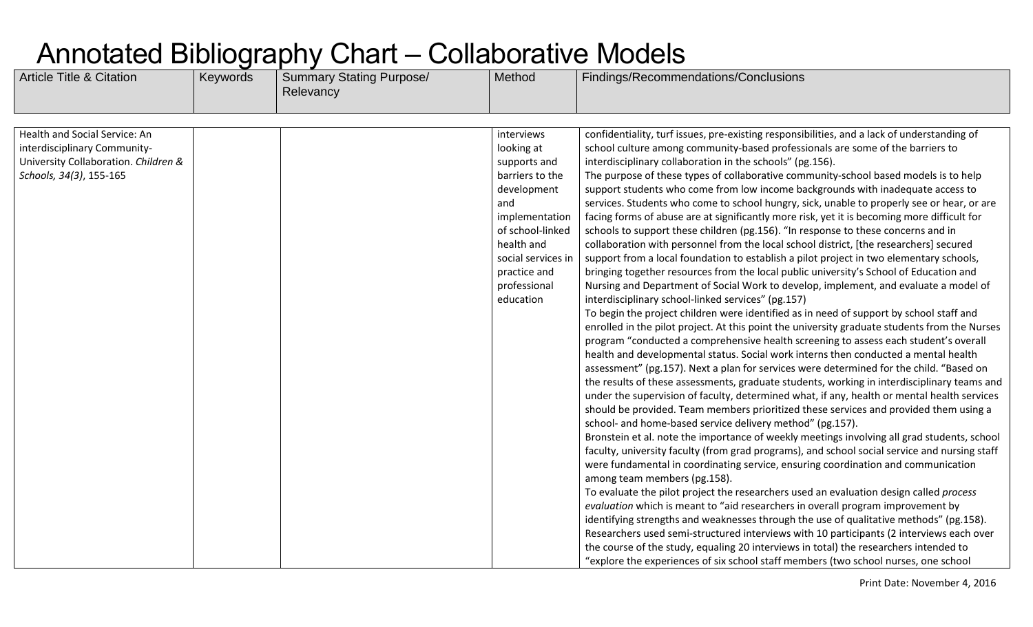| <b>Article Title &amp; Citation</b>                                                                                              | Keywords | <b>Summary Stating Purpose/</b><br>Relevancy | Method                                                                                                                                                                                                   | Findings/Recommendations/Conclusions                                                                                                                                                                                                                                                                                                                                                                                                                                                                                                                                                                                                                                                                                                                                                                                                                                                                                                                                                                                                                                                                                                                                                                                                                                                                                                                                                                                                                                                                                                                                                                                                                                                                                                                                                                                                                                                                                                                                                                                                                                                                                                                                                                                                                                                                                                                                                                                                                                                                                                                                                                                                                   |
|----------------------------------------------------------------------------------------------------------------------------------|----------|----------------------------------------------|----------------------------------------------------------------------------------------------------------------------------------------------------------------------------------------------------------|--------------------------------------------------------------------------------------------------------------------------------------------------------------------------------------------------------------------------------------------------------------------------------------------------------------------------------------------------------------------------------------------------------------------------------------------------------------------------------------------------------------------------------------------------------------------------------------------------------------------------------------------------------------------------------------------------------------------------------------------------------------------------------------------------------------------------------------------------------------------------------------------------------------------------------------------------------------------------------------------------------------------------------------------------------------------------------------------------------------------------------------------------------------------------------------------------------------------------------------------------------------------------------------------------------------------------------------------------------------------------------------------------------------------------------------------------------------------------------------------------------------------------------------------------------------------------------------------------------------------------------------------------------------------------------------------------------------------------------------------------------------------------------------------------------------------------------------------------------------------------------------------------------------------------------------------------------------------------------------------------------------------------------------------------------------------------------------------------------------------------------------------------------------------------------------------------------------------------------------------------------------------------------------------------------------------------------------------------------------------------------------------------------------------------------------------------------------------------------------------------------------------------------------------------------------------------------------------------------------------------------------------------------|
|                                                                                                                                  |          |                                              |                                                                                                                                                                                                          |                                                                                                                                                                                                                                                                                                                                                                                                                                                                                                                                                                                                                                                                                                                                                                                                                                                                                                                                                                                                                                                                                                                                                                                                                                                                                                                                                                                                                                                                                                                                                                                                                                                                                                                                                                                                                                                                                                                                                                                                                                                                                                                                                                                                                                                                                                                                                                                                                                                                                                                                                                                                                                                        |
| Health and Social Service: An<br>interdisciplinary Community-<br>University Collaboration. Children &<br>Schools, 34(3), 155-165 |          |                                              | interviews<br>looking at<br>supports and<br>barriers to the<br>development<br>and<br>implementation<br>of school-linked<br>health and<br>social services in<br>practice and<br>professional<br>education | confidentiality, turf issues, pre-existing responsibilities, and a lack of understanding of<br>school culture among community-based professionals are some of the barriers to<br>interdisciplinary collaboration in the schools" (pg.156).<br>The purpose of these types of collaborative community-school based models is to help<br>support students who come from low income backgrounds with inadequate access to<br>services. Students who come to school hungry, sick, unable to properly see or hear, or are<br>facing forms of abuse are at significantly more risk, yet it is becoming more difficult for<br>schools to support these children (pg.156). "In response to these concerns and in<br>collaboration with personnel from the local school district, [the researchers] secured<br>support from a local foundation to establish a pilot project in two elementary schools,<br>bringing together resources from the local public university's School of Education and<br>Nursing and Department of Social Work to develop, implement, and evaluate a model of<br>interdisciplinary school-linked services" (pg.157)<br>To begin the project children were identified as in need of support by school staff and<br>enrolled in the pilot project. At this point the university graduate students from the Nurses<br>program "conducted a comprehensive health screening to assess each student's overall<br>health and developmental status. Social work interns then conducted a mental health<br>assessment" (pg.157). Next a plan for services were determined for the child. "Based on<br>the results of these assessments, graduate students, working in interdisciplinary teams and<br>under the supervision of faculty, determined what, if any, health or mental health services<br>should be provided. Team members prioritized these services and provided them using a<br>school- and home-based service delivery method" (pg.157).<br>Bronstein et al. note the importance of weekly meetings involving all grad students, school<br>faculty, university faculty (from grad programs), and school social service and nursing staff<br>were fundamental in coordinating service, ensuring coordination and communication<br>among team members (pg.158).<br>To evaluate the pilot project the researchers used an evaluation design called process<br>evaluation which is meant to "aid researchers in overall program improvement by<br>identifying strengths and weaknesses through the use of qualitative methods" (pg.158).<br>Researchers used semi-structured interviews with 10 participants (2 interviews each over |
|                                                                                                                                  |          |                                              |                                                                                                                                                                                                          | the course of the study, equaling 20 interviews in total) the researchers intended to<br>"explore the experiences of six school staff members (two school nurses, one school                                                                                                                                                                                                                                                                                                                                                                                                                                                                                                                                                                                                                                                                                                                                                                                                                                                                                                                                                                                                                                                                                                                                                                                                                                                                                                                                                                                                                                                                                                                                                                                                                                                                                                                                                                                                                                                                                                                                                                                                                                                                                                                                                                                                                                                                                                                                                                                                                                                                           |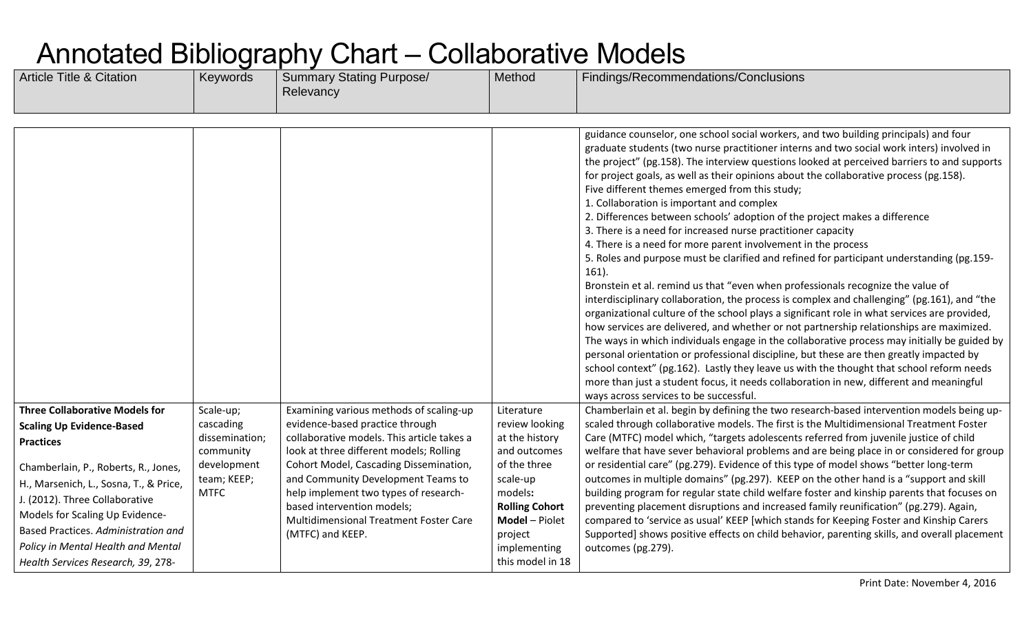| <b>Article Title &amp; Citation</b>                                                                                                                                                                                                                                    | Keywords                                  | <b>Summary Stating Purpose/</b><br>Relevancy                                                                                                                                                                             | Method                                                                                                                        | Findings/Recommendations/Conclusions                                                                                                                                                                                                                                                                                                                                                                                                                                                                                                                                                                                                                                                                                                                                                                                                                                                                                                                                                                                                                                                                                                                                                                                                                                                                                                                                                                                                                                                                                                                                                                       |
|------------------------------------------------------------------------------------------------------------------------------------------------------------------------------------------------------------------------------------------------------------------------|-------------------------------------------|--------------------------------------------------------------------------------------------------------------------------------------------------------------------------------------------------------------------------|-------------------------------------------------------------------------------------------------------------------------------|------------------------------------------------------------------------------------------------------------------------------------------------------------------------------------------------------------------------------------------------------------------------------------------------------------------------------------------------------------------------------------------------------------------------------------------------------------------------------------------------------------------------------------------------------------------------------------------------------------------------------------------------------------------------------------------------------------------------------------------------------------------------------------------------------------------------------------------------------------------------------------------------------------------------------------------------------------------------------------------------------------------------------------------------------------------------------------------------------------------------------------------------------------------------------------------------------------------------------------------------------------------------------------------------------------------------------------------------------------------------------------------------------------------------------------------------------------------------------------------------------------------------------------------------------------------------------------------------------------|
|                                                                                                                                                                                                                                                                        |                                           |                                                                                                                                                                                                                          |                                                                                                                               |                                                                                                                                                                                                                                                                                                                                                                                                                                                                                                                                                                                                                                                                                                                                                                                                                                                                                                                                                                                                                                                                                                                                                                                                                                                                                                                                                                                                                                                                                                                                                                                                            |
|                                                                                                                                                                                                                                                                        |                                           |                                                                                                                                                                                                                          |                                                                                                                               | guidance counselor, one school social workers, and two building principals) and four<br>graduate students (two nurse practitioner interns and two social work inters) involved in<br>the project" (pg.158). The interview questions looked at perceived barriers to and supports<br>for project goals, as well as their opinions about the collaborative process (pg.158).<br>Five different themes emerged from this study;<br>1. Collaboration is important and complex<br>2. Differences between schools' adoption of the project makes a difference<br>3. There is a need for increased nurse practitioner capacity<br>4. There is a need for more parent involvement in the process<br>5. Roles and purpose must be clarified and refined for participant understanding (pg.159-<br>$161$ ).<br>Bronstein et al. remind us that "even when professionals recognize the value of<br>interdisciplinary collaboration, the process is complex and challenging" (pg.161), and "the<br>organizational culture of the school plays a significant role in what services are provided,<br>how services are delivered, and whether or not partnership relationships are maximized.<br>The ways in which individuals engage in the collaborative process may initially be guided by<br>personal orientation or professional discipline, but these are then greatly impacted by<br>school context" (pg.162). Lastly they leave us with the thought that school reform needs<br>more than just a student focus, it needs collaboration in new, different and meaningful<br>ways across services to be successful. |
| <b>Three Collaborative Models for</b>                                                                                                                                                                                                                                  | Scale-up;                                 | Examining various methods of scaling-up                                                                                                                                                                                  | Literature                                                                                                                    | Chamberlain et al. begin by defining the two research-based intervention models being up-                                                                                                                                                                                                                                                                                                                                                                                                                                                                                                                                                                                                                                                                                                                                                                                                                                                                                                                                                                                                                                                                                                                                                                                                                                                                                                                                                                                                                                                                                                                  |
| <b>Scaling Up Evidence-Based</b><br><b>Practices</b>                                                                                                                                                                                                                   | cascading<br>dissemination;<br>community  | evidence-based practice through<br>collaborative models. This article takes a<br>look at three different models; Rolling                                                                                                 | review looking<br>at the history<br>and outcomes                                                                              | scaled through collaborative models. The first is the Multidimensional Treatment Foster<br>Care (MTFC) model which, "targets adolescents referred from juvenile justice of child<br>welfare that have sever behavioral problems and are being place in or considered for group                                                                                                                                                                                                                                                                                                                                                                                                                                                                                                                                                                                                                                                                                                                                                                                                                                                                                                                                                                                                                                                                                                                                                                                                                                                                                                                             |
| Chamberlain, P., Roberts, R., Jones,<br>H., Marsenich, L., Sosna, T., & Price,<br>J. (2012). Three Collaborative<br>Models for Scaling Up Evidence-<br>Based Practices. Administration and<br>Policy in Mental Health and Mental<br>Health Services Research, 39, 278- | development<br>team; KEEP;<br><b>MTFC</b> | Cohort Model, Cascading Dissemination,<br>and Community Development Teams to<br>help implement two types of research-<br>based intervention models;<br><b>Multidimensional Treatment Foster Care</b><br>(MTFC) and KEEP. | of the three<br>scale-up<br>models:<br><b>Rolling Cohort</b><br>Model - Piolet<br>project<br>implementing<br>this model in 18 | or residential care" (pg.279). Evidence of this type of model shows "better long-term<br>outcomes in multiple domains" (pg.297). KEEP on the other hand is a "support and skill<br>building program for regular state child welfare foster and kinship parents that focuses on<br>preventing placement disruptions and increased family reunification" (pg.279). Again,<br>compared to 'service as usual' KEEP [which stands for Keeping Foster and Kinship Carers<br>Supported] shows positive effects on child behavior, parenting skills, and overall placement<br>outcomes (pg.279).                                                                                                                                                                                                                                                                                                                                                                                                                                                                                                                                                                                                                                                                                                                                                                                                                                                                                                                                                                                                                   |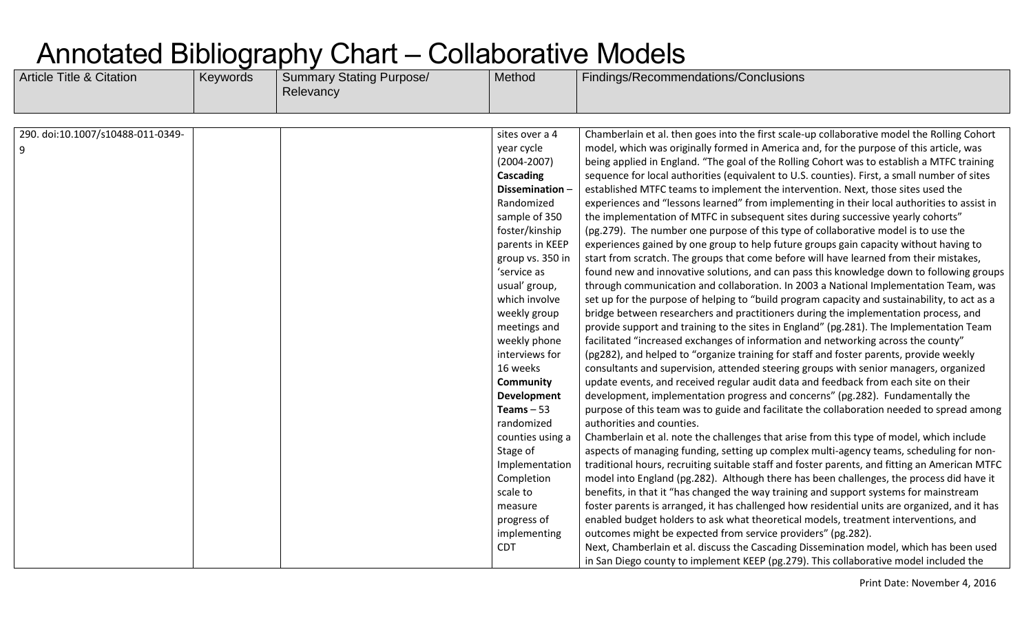| <b>Article Title &amp; Citation</b> | Keywords | <b>Summary Stating Purpose/</b><br>Relevancy | Method             | Findings/Recommendations/Conclusions                                                          |
|-------------------------------------|----------|----------------------------------------------|--------------------|-----------------------------------------------------------------------------------------------|
|                                     |          |                                              |                    |                                                                                               |
| 290. doi:10.1007/s10488-011-0349-   |          |                                              | sites over a 4     | Chamberlain et al. then goes into the first scale-up collaborative model the Rolling Cohort   |
| 9                                   |          |                                              | year cycle         | model, which was originally formed in America and, for the purpose of this article, was       |
|                                     |          |                                              | $(2004 - 2007)$    | being applied in England. "The goal of the Rolling Cohort was to establish a MTFC training    |
|                                     |          |                                              | Cascading          | sequence for local authorities (equivalent to U.S. counties). First, a small number of sites  |
|                                     |          |                                              | Dissemination-     | established MTFC teams to implement the intervention. Next, those sites used the              |
|                                     |          |                                              | Randomized         | experiences and "lessons learned" from implementing in their local authorities to assist in   |
|                                     |          |                                              | sample of 350      | the implementation of MTFC in subsequent sites during successive yearly cohorts"              |
|                                     |          |                                              | foster/kinship     | (pg.279). The number one purpose of this type of collaborative model is to use the            |
|                                     |          |                                              | parents in KEEP    | experiences gained by one group to help future groups gain capacity without having to         |
|                                     |          |                                              | group vs. 350 in   | start from scratch. The groups that come before will have learned from their mistakes,        |
|                                     |          |                                              | 'service as        | found new and innovative solutions, and can pass this knowledge down to following groups      |
|                                     |          |                                              | usual' group,      | through communication and collaboration. In 2003 a National Implementation Team, was          |
|                                     |          |                                              | which involve      | set up for the purpose of helping to "build program capacity and sustainability, to act as a  |
|                                     |          |                                              | weekly group       | bridge between researchers and practitioners during the implementation process, and           |
|                                     |          |                                              | meetings and       | provide support and training to the sites in England" (pg.281). The Implementation Team       |
|                                     |          |                                              | weekly phone       | facilitated "increased exchanges of information and networking across the county"             |
|                                     |          |                                              | interviews for     | (pg282), and helped to "organize training for staff and foster parents, provide weekly        |
|                                     |          |                                              | 16 weeks           | consultants and supervision, attended steering groups with senior managers, organized         |
|                                     |          |                                              | Community          | update events, and received regular audit data and feedback from each site on their           |
|                                     |          |                                              | <b>Development</b> | development, implementation progress and concerns" (pg.282). Fundamentally the                |
|                                     |          |                                              | Teams $-53$        | purpose of this team was to guide and facilitate the collaboration needed to spread among     |
|                                     |          |                                              | randomized         | authorities and counties.                                                                     |
|                                     |          |                                              | counties using a   | Chamberlain et al. note the challenges that arise from this type of model, which include      |
|                                     |          |                                              | Stage of           | aspects of managing funding, setting up complex multi-agency teams, scheduling for non-       |
|                                     |          |                                              | Implementation     | traditional hours, recruiting suitable staff and foster parents, and fitting an American MTFC |
|                                     |          |                                              | Completion         | model into England (pg.282). Although there has been challenges, the process did have it      |
|                                     |          |                                              | scale to           | benefits, in that it "has changed the way training and support systems for mainstream         |
|                                     |          |                                              | measure            | foster parents is arranged, it has challenged how residential units are organized, and it has |
|                                     |          |                                              | progress of        | enabled budget holders to ask what theoretical models, treatment interventions, and           |
|                                     |          |                                              | implementing       | outcomes might be expected from service providers" (pg.282).                                  |
|                                     |          |                                              | <b>CDT</b>         | Next, Chamberlain et al. discuss the Cascading Dissemination model, which has been used       |
|                                     |          |                                              |                    | in San Diego county to implement KEEP (pg.279). This collaborative model included the         |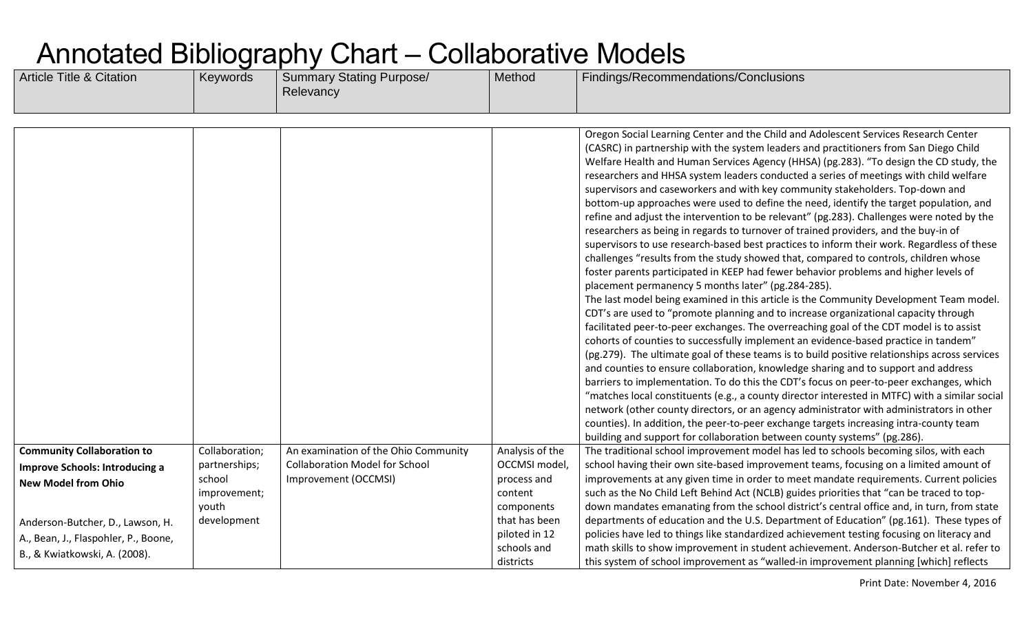| <b>Article Title &amp; Citation</b>                                                                                                                                                                            | Keywords                                                                          | <b>Summary Stating Purpose/</b><br>Relevancy                                                          | Method                                                                                                                                 | Findings/Recommendations/Conclusions                                                                                                                                                                                                                                                                                                                                                                                                                                                                                                                                                                                                                                                                                                                                                                                                                                                                                                                                                                                                                                                                                                                                                                                                                                                                                                                                                                                                                                                                                                                                                                                                                                                                                                                                                                                                                                                                                                                                                                                                                                                        |
|----------------------------------------------------------------------------------------------------------------------------------------------------------------------------------------------------------------|-----------------------------------------------------------------------------------|-------------------------------------------------------------------------------------------------------|----------------------------------------------------------------------------------------------------------------------------------------|---------------------------------------------------------------------------------------------------------------------------------------------------------------------------------------------------------------------------------------------------------------------------------------------------------------------------------------------------------------------------------------------------------------------------------------------------------------------------------------------------------------------------------------------------------------------------------------------------------------------------------------------------------------------------------------------------------------------------------------------------------------------------------------------------------------------------------------------------------------------------------------------------------------------------------------------------------------------------------------------------------------------------------------------------------------------------------------------------------------------------------------------------------------------------------------------------------------------------------------------------------------------------------------------------------------------------------------------------------------------------------------------------------------------------------------------------------------------------------------------------------------------------------------------------------------------------------------------------------------------------------------------------------------------------------------------------------------------------------------------------------------------------------------------------------------------------------------------------------------------------------------------------------------------------------------------------------------------------------------------------------------------------------------------------------------------------------------------|
|                                                                                                                                                                                                                |                                                                                   |                                                                                                       |                                                                                                                                        |                                                                                                                                                                                                                                                                                                                                                                                                                                                                                                                                                                                                                                                                                                                                                                                                                                                                                                                                                                                                                                                                                                                                                                                                                                                                                                                                                                                                                                                                                                                                                                                                                                                                                                                                                                                                                                                                                                                                                                                                                                                                                             |
|                                                                                                                                                                                                                |                                                                                   |                                                                                                       |                                                                                                                                        | Oregon Social Learning Center and the Child and Adolescent Services Research Center<br>(CASRC) in partnership with the system leaders and practitioners from San Diego Child<br>Welfare Health and Human Services Agency (HHSA) (pg.283). "To design the CD study, the<br>researchers and HHSA system leaders conducted a series of meetings with child welfare<br>supervisors and caseworkers and with key community stakeholders. Top-down and<br>bottom-up approaches were used to define the need, identify the target population, and<br>refine and adjust the intervention to be relevant" (pg.283). Challenges were noted by the<br>researchers as being in regards to turnover of trained providers, and the buy-in of<br>supervisors to use research-based best practices to inform their work. Regardless of these<br>challenges "results from the study showed that, compared to controls, children whose<br>foster parents participated in KEEP had fewer behavior problems and higher levels of<br>placement permanency 5 months later" (pg.284-285).<br>The last model being examined in this article is the Community Development Team model.<br>CDT's are used to "promote planning and to increase organizational capacity through<br>facilitated peer-to-peer exchanges. The overreaching goal of the CDT model is to assist<br>cohorts of counties to successfully implement an evidence-based practice in tandem"<br>(pg.279). The ultimate goal of these teams is to build positive relationships across services<br>and counties to ensure collaboration, knowledge sharing and to support and address<br>barriers to implementation. To do this the CDT's focus on peer-to-peer exchanges, which<br>"matches local constituents (e.g., a county director interested in MTFC) with a similar social<br>network (other county directors, or an agency administrator with administrators in other<br>counties). In addition, the peer-to-peer exchange targets increasing intra-county team<br>building and support for collaboration between county systems" (pg.286). |
| <b>Community Collaboration to</b><br>Improve Schools: Introducing a<br><b>New Model from Ohio</b><br>Anderson-Butcher, D., Lawson, H.<br>A., Bean, J., Flaspohler, P., Boone,<br>B., & Kwiatkowski, A. (2008). | Collaboration;<br>partnerships;<br>school<br>improvement;<br>youth<br>development | An examination of the Ohio Community<br><b>Collaboration Model for School</b><br>Improvement (OCCMSI) | Analysis of the<br>OCCMSI model,<br>process and<br>content<br>components<br>that has been<br>piloted in 12<br>schools and<br>districts | The traditional school improvement model has led to schools becoming silos, with each<br>school having their own site-based improvement teams, focusing on a limited amount of<br>improvements at any given time in order to meet mandate requirements. Current policies<br>such as the No Child Left Behind Act (NCLB) guides priorities that "can be traced to top-<br>down mandates emanating from the school district's central office and, in turn, from state<br>departments of education and the U.S. Department of Education" (pg.161). These types of<br>policies have led to things like standardized achievement testing focusing on literacy and<br>math skills to show improvement in student achievement. Anderson-Butcher et al. refer to<br>this system of school improvement as "walled-in improvement planning [which] reflects                                                                                                                                                                                                                                                                                                                                                                                                                                                                                                                                                                                                                                                                                                                                                                                                                                                                                                                                                                                                                                                                                                                                                                                                                                           |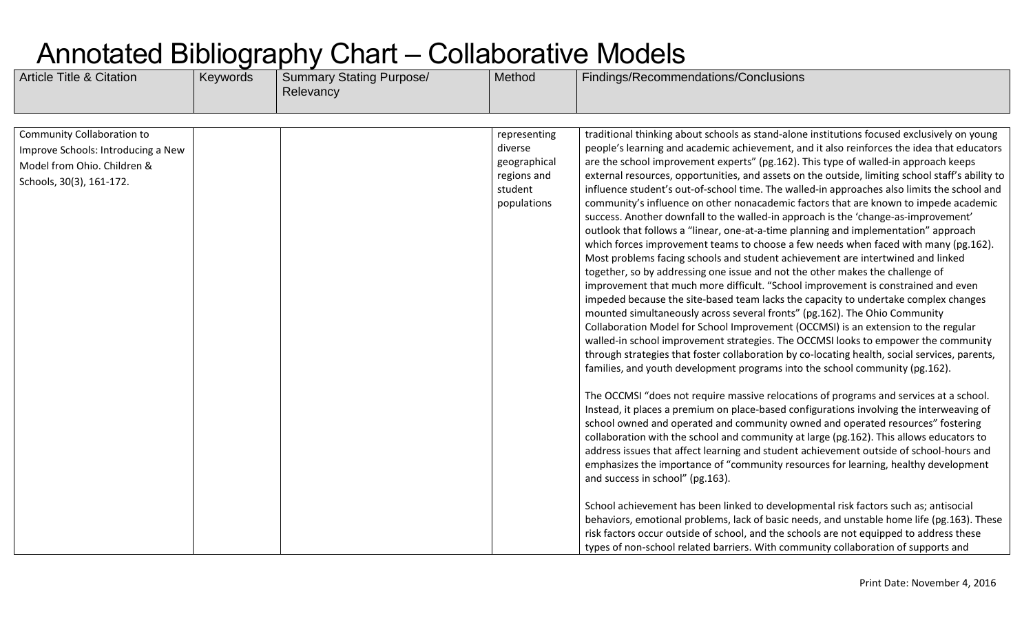| <b>Article Title &amp; Citation</b> | Keywords | <b>Summary Stating Purpose/</b><br>Relevancy | Method                                | Findings/Recommendations/Conclusions                                                                                                                                                                                                                                                                                                                                                                                                                                                                                                                                                                                                                                                                                                                                                                                                                                                                                                                                                                                                                                                                                                                                                                                                                                                                                                                   |
|-------------------------------------|----------|----------------------------------------------|---------------------------------------|--------------------------------------------------------------------------------------------------------------------------------------------------------------------------------------------------------------------------------------------------------------------------------------------------------------------------------------------------------------------------------------------------------------------------------------------------------------------------------------------------------------------------------------------------------------------------------------------------------------------------------------------------------------------------------------------------------------------------------------------------------------------------------------------------------------------------------------------------------------------------------------------------------------------------------------------------------------------------------------------------------------------------------------------------------------------------------------------------------------------------------------------------------------------------------------------------------------------------------------------------------------------------------------------------------------------------------------------------------|
|                                     |          |                                              |                                       |                                                                                                                                                                                                                                                                                                                                                                                                                                                                                                                                                                                                                                                                                                                                                                                                                                                                                                                                                                                                                                                                                                                                                                                                                                                                                                                                                        |
| Community Collaboration to          |          |                                              | representing                          | traditional thinking about schools as stand-alone institutions focused exclusively on young                                                                                                                                                                                                                                                                                                                                                                                                                                                                                                                                                                                                                                                                                                                                                                                                                                                                                                                                                                                                                                                                                                                                                                                                                                                            |
| Improve Schools: Introducing a New  |          |                                              | diverse                               | people's learning and academic achievement, and it also reinforces the idea that educators                                                                                                                                                                                                                                                                                                                                                                                                                                                                                                                                                                                                                                                                                                                                                                                                                                                                                                                                                                                                                                                                                                                                                                                                                                                             |
| Model from Ohio. Children &         |          |                                              | geographical                          | are the school improvement experts" (pg.162). This type of walled-in approach keeps                                                                                                                                                                                                                                                                                                                                                                                                                                                                                                                                                                                                                                                                                                                                                                                                                                                                                                                                                                                                                                                                                                                                                                                                                                                                    |
| Schools, 30(3), 161-172.            |          |                                              | regions and<br>student<br>populations | external resources, opportunities, and assets on the outside, limiting school staff's ability to<br>influence student's out-of-school time. The walled-in approaches also limits the school and<br>community's influence on other nonacademic factors that are known to impede academic<br>success. Another downfall to the walled-in approach is the 'change-as-improvement'<br>outlook that follows a "linear, one-at-a-time planning and implementation" approach<br>which forces improvement teams to choose a few needs when faced with many (pg.162).<br>Most problems facing schools and student achievement are intertwined and linked<br>together, so by addressing one issue and not the other makes the challenge of<br>improvement that much more difficult. "School improvement is constrained and even<br>impeded because the site-based team lacks the capacity to undertake complex changes<br>mounted simultaneously across several fronts" (pg.162). The Ohio Community<br>Collaboration Model for School Improvement (OCCMSI) is an extension to the regular<br>walled-in school improvement strategies. The OCCMSI looks to empower the community<br>through strategies that foster collaboration by co-locating health, social services, parents,<br>families, and youth development programs into the school community (pg.162). |
|                                     |          |                                              |                                       | The OCCMSI "does not require massive relocations of programs and services at a school.<br>Instead, it places a premium on place-based configurations involving the interweaving of<br>school owned and operated and community owned and operated resources" fostering<br>collaboration with the school and community at large (pg.162). This allows educators to<br>address issues that affect learning and student achievement outside of school-hours and<br>emphasizes the importance of "community resources for learning, healthy development<br>and success in school" (pg.163).<br>School achievement has been linked to developmental risk factors such as; antisocial<br>behaviors, emotional problems, lack of basic needs, and unstable home life (pg.163). These<br>risk factors occur outside of school, and the schools are not equipped to address these<br>types of non-school related barriers. With community collaboration of supports and                                                                                                                                                                                                                                                                                                                                                                                          |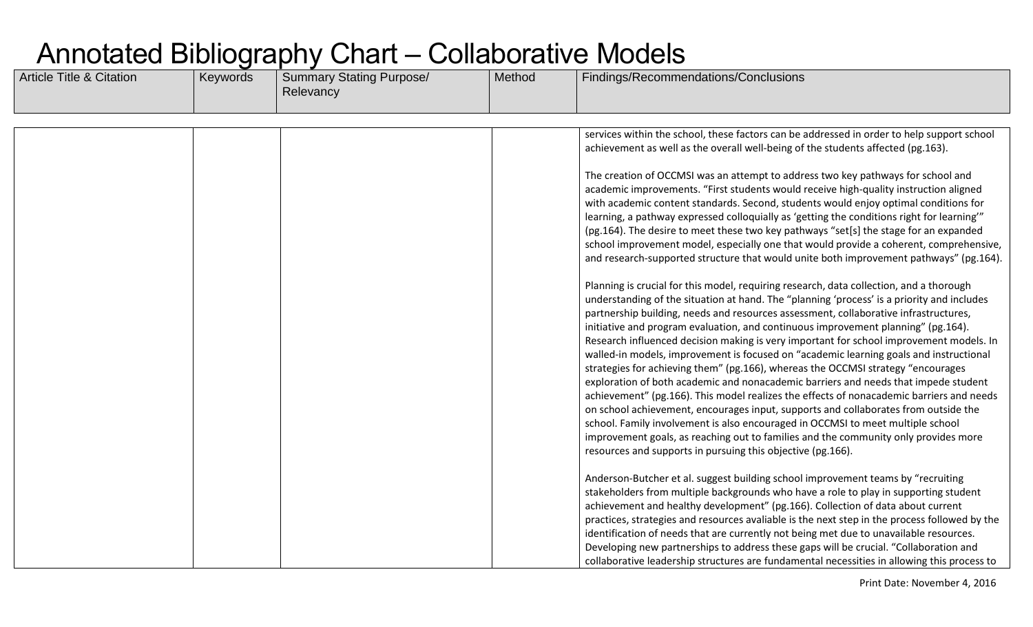| <b>Article Title &amp; Citation</b> | Keywords | <b>Summary Stating Purpose/</b><br>Relevancy | Method | Findings/Recommendations/Conclusions                                                                                                                                                                                                                                                                                                                                                                                                                                                                                                                                                                                                                                                                                                                                                                                                                                                                                                                                                                                                                                                                                                                           |
|-------------------------------------|----------|----------------------------------------------|--------|----------------------------------------------------------------------------------------------------------------------------------------------------------------------------------------------------------------------------------------------------------------------------------------------------------------------------------------------------------------------------------------------------------------------------------------------------------------------------------------------------------------------------------------------------------------------------------------------------------------------------------------------------------------------------------------------------------------------------------------------------------------------------------------------------------------------------------------------------------------------------------------------------------------------------------------------------------------------------------------------------------------------------------------------------------------------------------------------------------------------------------------------------------------|
|                                     |          |                                              |        |                                                                                                                                                                                                                                                                                                                                                                                                                                                                                                                                                                                                                                                                                                                                                                                                                                                                                                                                                                                                                                                                                                                                                                |
|                                     |          |                                              |        | services within the school, these factors can be addressed in order to help support school<br>achievement as well as the overall well-being of the students affected (pg.163).                                                                                                                                                                                                                                                                                                                                                                                                                                                                                                                                                                                                                                                                                                                                                                                                                                                                                                                                                                                 |
|                                     |          |                                              |        | The creation of OCCMSI was an attempt to address two key pathways for school and<br>academic improvements. "First students would receive high-quality instruction aligned<br>with academic content standards. Second, students would enjoy optimal conditions for<br>learning, a pathway expressed colloquially as 'getting the conditions right for learning'"<br>(pg.164). The desire to meet these two key pathways "set[s] the stage for an expanded<br>school improvement model, especially one that would provide a coherent, comprehensive,<br>and research-supported structure that would unite both improvement pathways" (pg.164).                                                                                                                                                                                                                                                                                                                                                                                                                                                                                                                   |
|                                     |          |                                              |        | Planning is crucial for this model, requiring research, data collection, and a thorough<br>understanding of the situation at hand. The "planning 'process' is a priority and includes<br>partnership building, needs and resources assessment, collaborative infrastructures,<br>initiative and program evaluation, and continuous improvement planning" (pg.164).<br>Research influenced decision making is very important for school improvement models. In<br>walled-in models, improvement is focused on "academic learning goals and instructional<br>strategies for achieving them" (pg.166), whereas the OCCMSI strategy "encourages<br>exploration of both academic and nonacademic barriers and needs that impede student<br>achievement" (pg.166). This model realizes the effects of nonacademic barriers and needs<br>on school achievement, encourages input, supports and collaborates from outside the<br>school. Family involvement is also encouraged in OCCMSI to meet multiple school<br>improvement goals, as reaching out to families and the community only provides more<br>resources and supports in pursuing this objective (pg.166). |
|                                     |          |                                              |        | Anderson-Butcher et al. suggest building school improvement teams by "recruiting<br>stakeholders from multiple backgrounds who have a role to play in supporting student<br>achievement and healthy development" (pg.166). Collection of data about current<br>practices, strategies and resources avaliable is the next step in the process followed by the<br>identification of needs that are currently not being met due to unavailable resources.<br>Developing new partnerships to address these gaps will be crucial. "Collaboration and<br>collaborative leadership structures are fundamental necessities in allowing this process to                                                                                                                                                                                                                                                                                                                                                                                                                                                                                                                 |